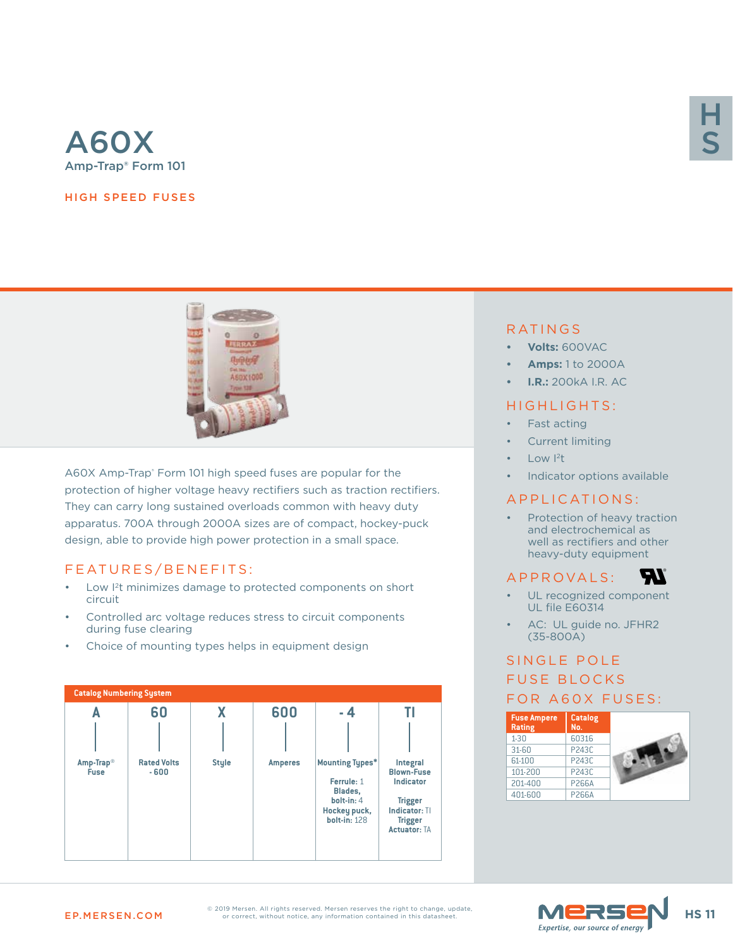

#### HIGH SPEED FUSES



A60X Amp-Trap® Form 101 high speed fuses are popular for the protection of higher voltage heavy rectifiers such as traction rectifiers. They can carry long sustained overloads common with heavy duty apparatus. 700A through 2000A sizes are of compact, hockey-puck design, able to provide high power protection in a small space.

## FEATURES/BENEFITS:

- Low I<sup>2</sup>t minimizes damage to protected components on short circuit
- Controlled arc voltage reduces stress to circuit components during fuse clearing
- Choice of mounting types helps in equipment design



# H S

## RATINGS

- **• Volts:** 600VAC
- **• Amps:** 1 to 2000A
- **• I.R.:** 200kA I.R. AC

#### HIGHLIGHTS:

- Fast acting
- Current limiting
- Low  $12t$
- Indicator options available

#### APPLICATIONS:

Protection of heavy traction and electrochemical as well as rectifiers and other heavy-duty equipment

*ETI* 

## A P P R O V A L S :

- UL recognized component UL file E60314
- AC: UL guide no. JFHR2 (35-800A)

# SINGLE POLE FUSE BLOCKS FOR A60X FUSES:





EP.MERSEN.COM **HS 11**  $\frac{1}{\sqrt{N}}$  **HS 11** © 2019 Mersen. All rights reserved. Mersen reserves the right to change, update,